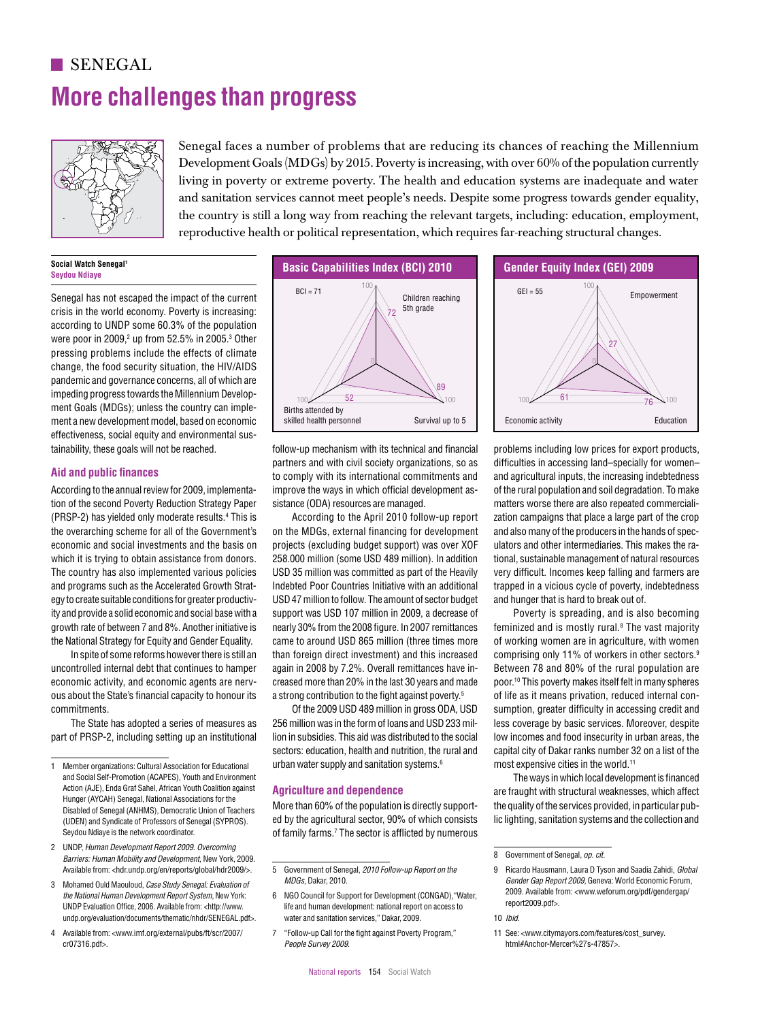# **SENEGAL More challenges than progress** 29



Senegal faces a number of problems that are reducing its chances of reaching the Millennium  $L^{\infty}$  Development Goals (MDGs) by 2015. Poverty is increasing, with over 60% of the population currently living in poverty or extreme poverty. The health and education systems are inadequate and water and sanitation services cannot meet people's needs. Despite some progress towards gender equality, the country is still a long way from reaching the relevant targets, including: education, employment, reproductive health or political representation, which requires far-reaching structural changes.  $E(\mathbf{Q})$  the country is still a languay from seeking the relevant tensor isolution of vector employment  $\cos$  what as genuer equally,

#### **Social Watch Senegal1 Seydou Ndiaye**

Senegal has not escaped the impact of the current crisis in the world economy. Poverty is increasing: according to UNDP some 60.3% of the population  $\frac{2000 \text{ cm}}{3000 \text{ cm}^2}$  (up from 52.5% in 2005.<sup>3</sup> Other pressing problems include the effects of climate .<br>change, the food security situation, the HIV/AIDS pandemic and governance concerns, all of which are 82 impeding progress towards the Millennium Development Goals (MDGs); unless the country can implement a new development model, based on economic effectiveness, social equity and environmental sustainability, these goals will not be reached. The state of Sollow-up mechanism with its technic

 $\overline{\phantom{0}}$ 

### **Aid and public finances**

According to the annual review for 2009, implementation of the second Poverty Reduction Strategy Paper (PRSP-2) has yielded only moderate results.<sup>4</sup> This is the overarching scheme for all of the Government's economic and social investments and the basis on which it is trying to obtain assistance from donors. The country has also implemented various policies and programs such as the Accelerated Growth Strat-26 egy to create suitable conditions for greater productivity and provide a solid economic and social base with a growth rate of between 7 and 8%. Another initiative is grommate or semson rand over means minding.<br>the National Strategy for Equity and Gender Equality.

In spite of some reforms however there is still an uncontrolled internal debt that continues to hamper ancent ence international contains committee to hamper ous about the State's financial capacity to honour its commitments.

The State has adopted a series of measures as part of PRSP-2, including setting up an institutional 100

4 Available from: <www.imf.org/external/pubs/ft/scr/2007/ cr07316.pdf>.



follow-up mechanism with its technical and financial partners and with civil society organizations, so as to comply with its international commitments and improve the ways in which official development assistance (ODA) resources are managed.

According to the April 2010 follow-up report 100 on the MDGs, external financing for development projects (excluding budget support) was over XOF 258.000 million (some USD 489 million). In addition USD 35 million was committed as part of the Heavily Indebted Poor Countries Initiative with an additional USD 47 million to follow. The amount of sector budget support was USD 107 million in 2009, a decrease of nearly 30% from the 2008 figure. In 2007 remittances came to around USD 865 million (three times more than foreign direct investment) and this increased again in 2008 by 7.2%. Overall remittances have increased more than 20% in the last 30 years and made a strong contribution to the fight against poverty.5

Of the 2009 USD 489 million in gross ODA, USD 256 million was in the form of loans and USD 233 million in subsidies. This aid was distributed to the social sectors: education, health and nutrition, the rural and urban water supply and sanitation systems.<sup>6</sup>

# **Agriculture and dependence**

More than 60% of the population is directly supported by the agricultural sector, 90% of which consists of family farms.<sup>7</sup> The sector is afflicted by numerous



problems including low prices for export products, difficulties in accessing land–specially for women– and agricultural inputs, the increasing indebtedness of the rural population and soil degradation. To make matters worse there are also repeated commercialization campaigns that place a large part of the crop and also many of the producers in the hands of speculators and other intermediaries. This makes the rational, sustainable management of natural resources very difficult. Incomes keep falling and farmers are trapped in a vicious cycle of poverty, indebtedness and hunger that is hard to break out of.

Poverty is spreading, and is also becoming feminized and is mostly rural.<sup>8</sup> The vast majority of working women are in agriculture, with women comprising only 11% of workers in other sectors.<sup>9</sup> Between 78 and 80% of the rural population are poor.<sup>10</sup> This poverty makes itself felt in many spheres of life as it means privation, reduced internal consumption, greater difficulty in accessing credit and less coverage by basic services. Moreover, despite low incomes and food insecurity in urban areas, the capital city of Dakar ranks number 32 on a list of the most expensive cities in the world.<sup>11</sup>

The ways in which local development is financed are fraught with structural weaknesses, which affect the quality of the services provided, in particular public lighting, sanitation systems and the collection and

<sup>1</sup> Member organizations: Cultural Association for Educational and Social Self-Promotion (ACAPES), Youth and Environment Action (AJE), Enda Graf Sahel, African Youth Coalition against Hunger (AYCAH) Senegal, National Associations for the Disabled of Senegal (ANHMS), Democratic Union of Teachers (UDEN) and Syndicate of Professors of Senegal (SYPROS). Seydou Ndiaye is the network coordinator. 0

<sup>2</sup> UNDP, Human Development Report 2009. Overcoming *Barriers: Human Mobility and Development,* New York, 2009. Available from: <hdr.undp.org/en/reports/global/hdr2009/>.

<sup>3</sup> Mohamed Ould Maouloud, *Case Study Senegal: Evaluation of the National Human Development Report System*, New York: UNDP Evaluation Office, 2006. Available from: <http://www. undp.org/evaluation/documents/thematic/nhdr/SENEGAL.pdf>.

<sup>5</sup> Government of Senegal, 2010 Follow-up Report on the *MDGs,* Dakar, 2010.

<sup>6</sup> NGO Council for Support for Development (CONGAD),"Water, life and human development: national report on access to water and sanitation services," Dakar, 2009. rueveropment. national report on access to the community of the community of the community of the community of<br>tation services." Dakar. 2009.

<sup>7</sup> "Follow-up Call for the fight against Poverty Program," *People Survey 2009*.

<sup>8</sup> Government of Senegal, op. cit.

<sup>9</sup> Ricardo Hausmann, Laura D Tyson and Saadia Zahidi, *Global*  100 100 88 88 *Gender Gap Report 2009*, Geneva: World Economic Forum, 2009. Available from: <www.weforum.org/pdf/gendergap/ report2009.pdf>.

<sup>10</sup> *Ibid*.

<sup>11</sup> See: <www.citymayors.com/features/cost\_survey. html#Anchor-Mercer%27s-47857>.